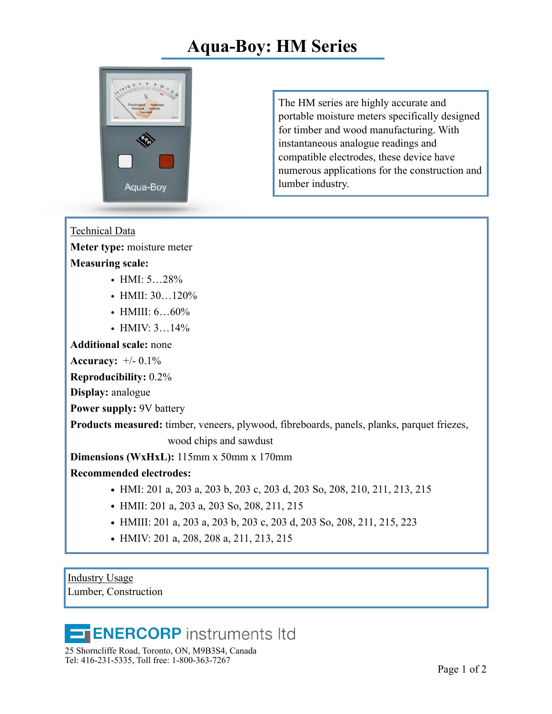## **Aqua-Boy: HM Series**



The HM series are highly accurate and portable moisture meters specifically designed for timber and wood manufacturing. With instantaneous analogue readings and compatible electrodes, these device have numerous applications for the construction and lumber industry.

Technical Data

**Meter type:** moisture meter

## **Measuring scale:**

- HMI:  $5...28\%$
- HMII: 30...120%
- HMIII:  $6...60\%$
- HMIV:  $3...14%$

**Additional scale:** none

**Accuracy:** +/- 0.1%

**Reproducibility:** 0.2%

**Display:** analogue

**Power supply:** 9V battery

**Products measured:** timber, veneers, plywood, fibreboards, panels, planks, parquet friezes,

wood chips and sawdust

**Dimensions (WxHxL):** 115mm x 50mm x 170mm

**Recommended electrodes:**

- **•** HMI: 201 a, 203 a, 203 b, 203 c, 203 d, 203 So, 208, 210, 211, 213, 215
- **•** HMII: 201 a, 203 a, 203 So, 208, 211, 215
- **•** HMIII: 201 a, 203 a, 203 b, 203 c, 203 d, 203 So, 208, 211, 215, 223
- **•** HMIV: 201 a, 208, 208 a, 211, 213, 215

Industry Usage Lumber, Construction

## **ENERCORP** instruments Itd

25 Shorncliffe Road, Toronto, ON, M9B3S4, Canada Tel: 416-231-5335, Toll free: 1-800-363-7267